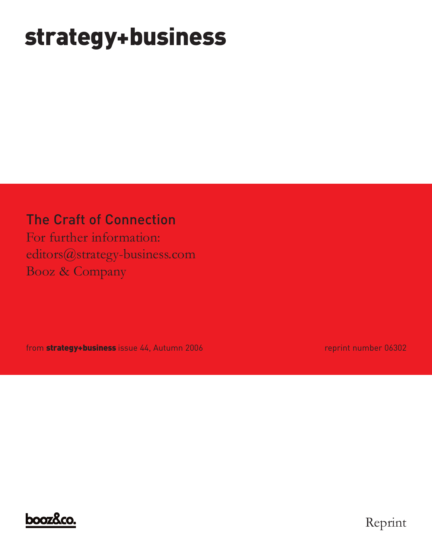# **strategy+business**

### The Craft of Connection

For further information: editors@strategy-business.com Booz & Company

from **strategy+business** issue 44, Autumn 2006 reprint number 06302



Reprint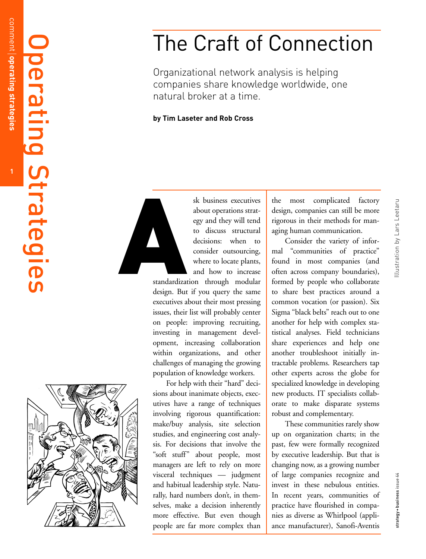Operating

Strategies

**1**

## The Craft of Connection

Organizational network analysis is helping companies share knowledge worldwide, one natural broker at a time.

**by Tim Laseter and Rob Cross**



sk business executives about operations strategy and they will tend to discuss structural decisions: when to consider outsourcing, where to locate plants, and how to increase

standardization through modular design. But if you query the same executives about their most pressing issues, their list will probably center on people: improving recruiting, investing in management development, increasing collaboration within organizations, and other challenges of managing the growing population of knowledge workers.

For help with their "hard" decisions about inanimate objects, executives have a range of techniques involving rigorous quantification: make/buy analysis, site selection studies, and engineering cost analysis. For decisions that involve the "soft stuff" about people, most managers are left to rely on more visceral techniques — judgment and habitual leadership style. Natu rally, hard numbers don't, in themselves, make a decision inherently mor e effective. But even though people are far more complex than

the most complicated factory design, companies can still be more rigorous in their methods for man aging human communication.

Consider the variety of informal "communities of practice" found in most companies (and often across company boundaries), formed b y people who collaborate to share best practices around a common vocation (or passion). Six Sigma "black belts" reach out to one another for help with complex statistical analyses. Field technicians share experiences and help one another troubleshoot initially intractable problems. Researchers tap other experts across the globe for specialized knowledge in developing ne w products. IT specialists collab orate to make disparate systems robust and complementary.

These communities rarely sho w up on organization charts; in the past, few were formally recognized by executive leadership. But that is changing now, as a growing number of large companies recognize and invest in these nebulous entities. In recent years, communities of practice have flourished in companies as diverse as Whirlpool (appliance manufacturer), Sanofi-Aventis

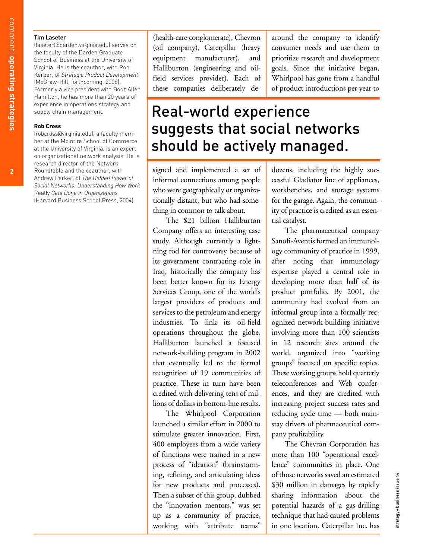#### **Tim Laseter**

(lasetert@darden.virginia.edu) serves on the faculty of the Darden Graduate School of Business at the University of Virginia. He is the coauthor, with Ron Kerber, of *Strategic Product Development* (McGraw-Hill, forthcoming, 2006). Formerly a vice president with Booz Allen Hamilton, he has more than 20 years of experience in operations strategy and supply chain management.

#### **Rob Cross**

(robcross@virginia.edu), a faculty member at the McIntire School of Commerce at the University of Virginia, is an expert on organizational network analysis. He is research director of the Network Roundtable and the coauthor, with Andrew Parker, of *The Hidden Power of Social Networks: Understanding How Work* Really *Gets Done in Organizations* (Harvard Business School Press, 2004).

(health-care conglomerate), Chevron (oil company), Caterpillar (heavy equipment manufacturer), and Halliburton (engineering and oilfield services provider). Each of these companies deliberately de-

around the company to identify consumer needs and use them to prioritize research and development goals. Since the initiative began, Whirlpool has gone from a handful of product introductions per year to

## Real-world experience suggests that social networks should be actively managed.

signed and implemented a set of informal connections among people who were geographically or organizationally distant, but who had something in common to talk about.

The \$21 billion Halliburton Company offers an interesting case study. Although currently a lightning rod for controversy because of its government contracting role in Iraq, historically the company has been better known for its Energy Services Group, one of the world's largest providers of products and services to the petroleum and energy industries. To link its oil-field operations throughout the globe, Halliburton launched a focused network-building program in 2002 that eventually led to the formal recognition of 19 communities of practice. These in turn have been credited with delivering tens of millions of dollars in bottom-line results.

The Whirlpool Corporation launched a similar effort in 2000 to stimulate greater innovation. First, 400 employees from a wide variety of functions were trained in a new process of "ideation" (brainstorming, refining, and articulating ideas for new products and processes). Then a subset of this group, dubbed the "innovation mentors," was set up as a community of practice, working with "attribute teams"

dozens, including the highly successful Gladiator line of appliances, workbenches, and storage systems for the garage. Again, the community of practice is credited as an essential catalyst.

The pharmaceutical company Sanofi-Aventis formed an immunology community of practice in 1999, after noting that immunology expertise played a central role in developing more than half of its product portfolio. By 2001, the community had evolved from an informal group into a formally recognized network-building initiative involving more than 100 scientists in 12 research sites around the world, organized into "working groups" focused on specific topics. These working groups hold quarterly teleconferences and Web conferences, and they are credited with increasing project success rates and reducing cycle time — both mainstay drivers of pharmaceutical company profitability.

The Chevron Corporation has more than 100 "operational excellence" communities in place. One of those networks saved an estimated \$30 million in damages by rapidly sharing information about the potential hazards of a gas-drilling technique that had caused problems in one location. Caterpillar Inc. has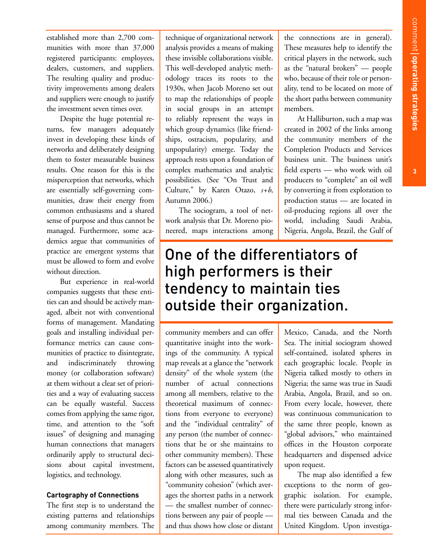established more than 2,700 communities with more than 37,000 registered participants: employees, dealers, customers, and suppliers. The resulting quality and productivity improvements among dealers and suppliers were enough to justify the investment seven times over.

Despite the huge potential returns, few managers adequately invest in developing these kinds of networks and deliberately designing them to foster measurable business results. One reason for this is the misperception that networks, which are essentially self-governing communities, draw their energy from common enthusiasms and a shared sense of purpose and thus cannot be managed. Furthermore, some academics argue that communities of practice are emergent systems that must be allowed to form and evolve without direction.

But experience in real-world companies suggests that these entities can and should be actively managed, albeit not with conventional forms of management. Mandating goals and installing individual performance metrics can cause communities of practice to disintegrate, and indiscriminately throwing money (or collaboration software) at them without a clear set of priorities and a way of evaluating success can be equally wasteful. Success comes from applying the same rigor, time, and attention to the "soft issues" of designing and managing human connections that managers ordinarily apply to structural decisions about capital investment, logistics, and technology.

#### **Cartography of Connections**

The first step is to understand the existing patterns and relationships among community members. The technique of organizational network analysis provides a means of making these invisible collaborations visible. This well-developed analytic methodology traces its roots to the 1930s, when Jacob Moreno set out to map the relationships of people in social groups in an attempt to reliably represent the ways in which group dynamics (like friendships, ostracism, popularity, and unpopularity) emerge. Today the approach rests upon a foundation of complex mathematics and analytic possibilities. (See "On Trust and Culture," by Karen Otazo, *s*+*b*, Autumn 2006.)

The sociogram, a tool of network analysis that Dr. Moreno pioneered, maps interactions among the connections are in general). These measures help to identify the critical players in the network, such as the "natural brokers" — people who, because of their role or personality, tend to be located on more of the short paths between community members.

At Halliburton, such a map was created in 2002 of the links among the community members of the Completion Products and Services business unit. The business unit's field experts — who work with oil producers to "complete" an oil well by converting it from exploration to production status — are located in oil-producing regions all over the world, including Saudi Arabia, Nigeria, Angola, Brazil, the Gulf of

## One of the differentiators of high performers is their tendency to maintain ties outside their organization.

community members and can offer quantitative insight into the workings of the community. A typical map reveals at a glance the "network density" of the whole system (the number of actual connections among all members, relative to the theoretical maximum of connections from everyone to everyone) and the "individual centrality" of any person (the number of connections that he or she maintains to other community members). These factors can be assessed quantitatively along with other measures, such as "community cohesion" (which averages the shortest paths in a network — the smallest number of connections between any pair of people and thus shows how close or distant

Mexico, Canada, and the North Sea. The initial sociogram showed self-contained, isolated spheres in each geographic locale. People in Nigeria talked mostly to others in Nigeria; the same was true in Saudi Arabia, Angola, Brazil, and so on. From every locale, however, there was continuous communication to the same three people, known as "global advisors," who maintained offices in the Houston corporate headquarters and dispensed advice upon request.

The map also identified a few exceptions to the norm of geographic isolation. For example, there were particularly strong informal ties between Canada and the United Kingdom. Upon investiga-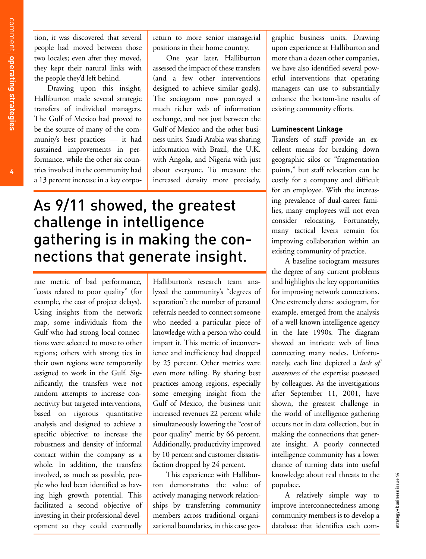tion, it was discovered that several people had moved between those two locales; even after they moved, they kept their natural links with the people they'd left behind.

Drawing upon this insight, Halliburton made several strategic transfers of individual managers. The Gulf of Mexico had proved to be the source of many of the community's best practices — it had sustained improvements in performance, while the other six countries involved in the community had a 13 percent increase in a key corpo-

return to more senior managerial positions in their home country.

One year later, Halliburton assessed the impact of these transfers (and a few other interventions designed to achieve similar goals). The sociogram now portrayed a much richer web of information exchange, and not just between the Gulf of Mexico and the other business units. Saudi Arabia was sharing information with Brazil, the U.K. with Angola, and Nigeria with just about everyone. To measure the increased density more precisely,

## As 9/11 showed, the greatest challenge in intelligence gathering is in making the connections that generate insight.

rate metric of bad performance, "costs related to poor quality" (for example, the cost of project delays). Using insights from the network map, some individuals from the Gulf who had strong local connections were selected to move to other regions; others with strong ties in their own regions were temporarily assigned to work in the Gulf. Significantly, the transfers were not random attempts to increase connectivity but targeted interventions, based on rigorous quantitative analysis and designed to achieve a specific objective: to increase the robustness and density of informal contact within the company as a whole. In addition, the transfers involved, as much as possible, people who had been identified as having high growth potential. This facilitated a second objective of investing in their professional development so they could eventually

Halliburton's research team analyzed the community's "degrees of separation": the number of personal referrals needed to connect someone who needed a particular piece of knowledge with a person who could impart it. This metric of inconvenience and inefficiency had dropped by 25 percent. Other metrics were even more telling. By sharing best practices among regions, especially some emerging insight from the Gulf of Mexico, the business unit increased revenues 22 percent while simultaneously lowering the "cost of poor quality" metric by 66 percent. Additionally, productivity improved by 10 percent and customer dissatisfaction dropped by 24 percent.

This experience with Halliburton demonstrates the value of actively managing network relationships by transferring community members across traditional organizational boundaries, in this case geographic business units. Drawing upon experience at Halliburton and more than a dozen other companies, we have also identified several powerful interventions that operating managers can use to substantially enhance the bottom-line results of existing community efforts.

#### **Luminescent Linkage**

Transfers of staff provide an excellent means for breaking down geographic silos or "fragmentation points," but staff relocation can be costly for a company and difficult for an employee. With the increasing prevalence of dual-career families, many employees will not even consider relocating. Fortunately, many tactical levers remain for improving collaboration within an existing community of practice.

A baseline sociogram measures the degree of any current problems and highlights the key opportunities for improving network connections. One extremely dense sociogram, for example, emerged from the analysis of a well-known intelligence agency in the late 1990s. The diagram showed an intricate web of lines connecting many nodes. Unfortunately, each line depicted a *lack of awareness* of the expertise possessed by colleagues. As the investigations after September 11, 2001, have shown, the greatest challenge in the world of intelligence gathering occurs not in data collection, but in making the connections that generate insight. A poorly connected intelligence community has a lower chance of turning data into useful knowledge about real threats to the populace.

A relatively simple way to improve interconnectedness among community members is to develop a database that identifies each com-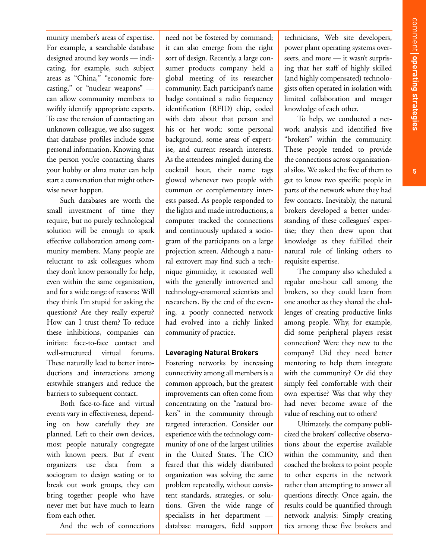munity member's areas of expertise. For example, a searchable database designed around key words — indicating, for example, such subject areas as "China," "economic forecasting," or "nuclear weapons" can allow community members to swiftly identify appropriate experts. To ease the tension of contacting an unknown colleague, we also suggest that database profiles include some personal information. Knowing that the person you're contacting shares your hobby or alma mater can help start a conversation that might otherwise never happen.

Such databases are worth the small investment of time they require, but no purely technological solution will be enough to spark effective collaboration among community members. Many people are reluctant to ask colleagues whom they don't know personally for help, even within the same organization, and for a wide range of reasons: Will they think I'm stupid for asking the questions? Are they really experts? How can I trust them? To reduce these inhibitions, companies can initiate face-to-face contact and well-structured virtual forums. These naturally lead to better introductions and interactions among erstwhile strangers and reduce the barriers to subsequent contact.

Both face-to-face and virtual events vary in effectiveness, depending on how carefully they are planned. Left to their own devices, most people naturally congregate with known peers. But if event organizers use data from a sociogram to design seating or to break out work groups, they can bring together people who have never met but have much to learn from each other.

And the web of connections

need not be fostered by command; it can also emerge from the right sort of design. Recently, a large consumer products company held a global meeting of its researcher community. Each participant's name badge contained a radio frequency identification (RFID) chip, coded with data about that person and his or her work: some personal background, some areas of expertise, and current research interests. As the attendees mingled during the cocktail hour, their name tags glowed whenever two people with common or complementary interests passed. As people responded to the lights and made introductions, a computer tracked the connections and continuously updated a sociogram of the participants on a large projection screen. Although a natural extrovert may find such a technique gimmicky, it resonated well with the generally introverted and technology-enamored scientists and researchers. By the end of the evening, a poorly connected network had evolved into a richly linked community of practice.

#### **Leveraging Natural Brokers**

Fostering networks by increasing connectivity among all members is a common approach, but the greatest improvements can often come from concentrating on the "natural brokers" in the community through targeted interaction. Consider our experience with the technology community of one of the largest utilities in the United States. The CIO feared that this widely distributed organization was solving the same problem repeatedly, without consistent standards, strategies, or solutions. Given the wide range of specialists in her department database managers, field support

technicians, Web site developers, power plant operating systems overseers, and more — it wasn't surprising that her staff of highly skilled (and highly compensated) technologists often operated in isolation with limited collaboration and meager knowledge of each other.

To help, we conducted a network analysis and identified five "brokers" within the community. These people tended to provide the connections across organizational silos. We asked the five of them to get to know two specific people in parts of the network where they had few contacts. Inevitably, the natural brokers developed a better understanding of these colleagues' expertise; they then drew upon that knowledge as they fulfilled their natural role of linking others to requisite expertise.

The company also scheduled a regular one-hour call among the brokers, so they could learn from one another as they shared the challenges of creating productive links among people. Why, for example, did some peripheral players resist connection? Were they new to the company? Did they need better mentoring to help them integrate with the community? Or did they simply feel comfortable with their own expertise? Was that why they had never become aware of the value of reaching out to others?

Ultimately, the company publicized the brokers' collective observations about the expertise available within the community, and then coached the brokers to point people to other experts in the network rather than attempting to answer all questions directly. Once again, the results could be quantified through network analysis: Simply creating ties among these five brokers and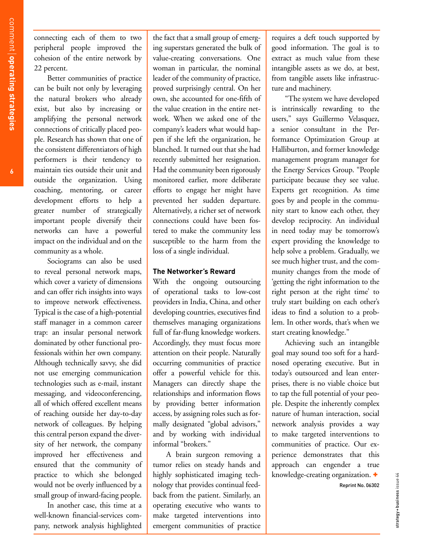connecting each of them to two peripheral people improved the cohesion of the entire network by 22 percent.

Better communities of practice can be built not only by leveraging the natural brokers who already exist, but also by increasing or amplifying the personal network connections of critically placed people. Research has shown that one of the consistent differentiators of high performers is their tendency to maintain ties outside their unit and outside the organization. Using coaching, mentoring, or career development efforts to help a greater number of strategically important people diversify their networks can have a powerful impact on the individual and on the community as a whole.

Sociograms can also be used to reveal personal network maps, which cover a variety of dimensions and can offer rich insights into ways to improve network effectiveness. Typical is the case of a high-potential staff manager in a common career trap: an insular personal network dominated by other functional professionals within her own company. Although technically savvy, she did not use emerging communication technologies such as e-mail, instant messaging, and videoconferencing, all of which offered excellent means of reaching outside her day-to-day network of colleagues. By helping this central person expand the diversity of her network, the company improved her effectiveness and ensured that the community of practice to which she belonged would not be overly influenced by a small group of inward-facing people.

In another case, this time at a well-known financial-services company, network analysis highlighted

the fact that a small group of emerging superstars generated the bulk of value-creating conversations. One woman in particular, the nominal leader of the community of practice, proved surprisingly central. On her own, she accounted for one-fifth of the value creation in the entire network. When we asked one of the company's leaders what would happen if she left the organization, he blanched. It turned out that she had recently submitted her resignation. Had the community been rigorously monitored earlier, more deliberate efforts to engage her might have prevented her sudden departure. Alternatively, a richer set of network connections could have been fostered to make the community less susceptible to the harm from the loss of a single individual.

#### **The Networker's Reward**

With the ongoing outsourcing of operational tasks to low-cost providers in India, China, and other developing countries, executives find themselves managing organizations full of far-flung knowledge workers. Accordingly, they must focus more attention on their people. Naturally occurring communities of practice offer a powerful vehicle for this. Managers can directly shape the relationships and information flows by providing better information access, by assigning roles such as formally designated "global advisors," and by working with individual informal "brokers."

A brain surgeon removing a tumor relies on steady hands and highly sophisticated imaging technology that provides continual feedback from the patient. Similarly, an operating executive who wants to make targeted interventions into emergent communities of practice requires a deft touch supported by good information. The goal is to extract as much value from these intangible assets as we do, at best, from tangible assets like infrastructure and machinery.

"The system we have developed is intrinsically rewarding to the users," says Guillermo Velasquez, a senior consultant in the Performance Optimization Group at Halliburton, and former knowledge management program manager for the Energy Services Group. "People participate because they see value. Experts get recognition. As time goes by and people in the community start to know each other, they develop reciprocity. An individual in need today may be tomorrow's expert providing the knowledge to help solve a problem. Gradually, we see much higher trust, and the community changes from the mode of 'getting the right information to the right person at the right time' to truly start building on each other's ideas to find a solution to a problem. In other words, that's when we start creating knowledge."

Achieving such an intangible goal may sound too soft for a hardnosed operating executive. But in today's outsourced and lean enterprises, there is no viable choice but to tap the full potential of your people. Despite the inherently complex nature of human interaction, social network analysis provides a way to make targeted interventions to communities of practice. Our experience demonstrates that this approach can engender a true knowledge-creating organization. **+**

strategy+business issue 44

strategy + business issue 44